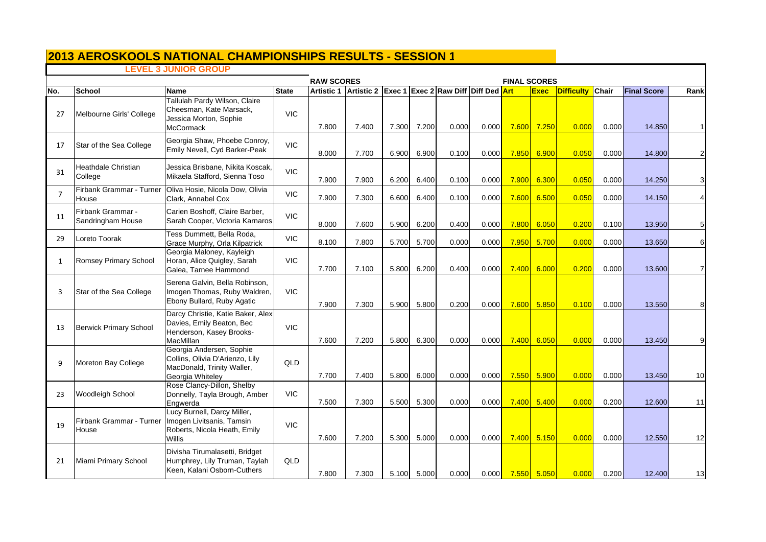# **LEVEL 3 JUNIOR GROUP**

|                |                                        | ד ט טאוט א טווענ                                                                                              |              | <b>RAW SCORES</b> |                                                           |       |       |       |       | <b>FINAL SCORES</b> |                          |                   |              |                    |                |
|----------------|----------------------------------------|---------------------------------------------------------------------------------------------------------------|--------------|-------------------|-----------------------------------------------------------|-------|-------|-------|-------|---------------------|--------------------------|-------------------|--------------|--------------------|----------------|
| No.            | <b>School</b>                          | Name                                                                                                          | <b>State</b> |                   | Artistic 1 Artistic 2 Exec 1 Exec 2 Raw Diff Diff Ded Art |       |       |       |       |                     | <b>Exec</b>              | <b>Difficulty</b> | <b>Chair</b> | <b>Final Score</b> | Rank           |
| 27             | Melbourne Girls' College               | Tallulah Pardy Wilson, Claire<br>Cheesman, Kate Marsack,<br>Jessica Morton, Sophie<br><b>McCormack</b>        | <b>VIC</b>   | 7.800             | 7.400                                                     | 7.300 | 7.200 | 0.000 | 0.000 | 7.600               | 7.250                    | 0.000             | 0.000        | 14.850             |                |
| 17             | Star of the Sea College                | Georgia Shaw, Phoebe Conroy,<br>Emily Nevell, Cyd Barker-Peak                                                 | <b>VIC</b>   | 8.000             | 7.700                                                     | 6.900 | 6.900 | 0.100 | 0.000 | 7.850               | 6.900                    | 0.050             | 0.000        | 14.800             | $\overline{c}$ |
| 31             | <b>Heathdale Christian</b><br>College  | Jessica Brisbane, Nikita Koscak,<br>Mikaela Stafford, Sienna Toso                                             | <b>VIC</b>   | 7.900             | 7.900                                                     | 6.200 | 6.400 | 0.100 | 0.000 | 7.900               | 6.300                    | 0.050             | 0.000        | 14.250             | 3              |
| $\overline{7}$ | Firbank Grammar - Turner<br>House      | Oliva Hosie, Nicola Dow, Olivia<br>Clark, Annabel Cox                                                         | <b>VIC</b>   | 7.900             | 7.300                                                     | 6.600 | 6.400 | 0.100 | 0.000 | 7.600               | 6.500                    | 0.050             | 0.000        | 14.150             | $\overline{4}$ |
| 11             | Firbank Grammar -<br>Sandringham House | Carien Boshoff, Claire Barber,<br>Sarah Cooper, Victoria Karnaros                                             | <b>VIC</b>   | 8.000             | 7.600                                                     | 5.900 | 6.200 | 0.400 | 0.000 | 7.800               | 6.050                    | 0.200             | 0.100        | 13.950             | 5              |
| 29             | Loreto Toorak                          | Tess Dummett, Bella Roda,<br>Grace Murphy, Orla Kilpatrick                                                    | <b>VIC</b>   | 8.100             | 7.800                                                     | 5.700 | 5.700 | 0.000 | 0.000 | 7.950               | 5.700                    | 0.000             | 0.000        | 13.650             | $\,$ 6         |
| 1              | Romsey Primary School                  | Georgia Maloney, Kayleigh<br>Horan, Alice Quigley, Sarah<br>Galea, Tarnee Hammond                             | <b>VIC</b>   | 7.700             | 7.100                                                     | 5.800 | 6.200 | 0.400 | 0.000 | 7.400               | 6.000                    | 0.200             | 0.000        | 13.600             | $\overline{7}$ |
| 3              | Star of the Sea College                | Serena Galvin, Bella Robinson,<br>Imogen Thomas, Ruby Waldren,<br>Ebony Bullard, Ruby Agatic                  | <b>VIC</b>   | 7.900             | 7.300                                                     | 5.900 | 5.800 | 0.200 | 0.000 | 7.600               | 5.850                    | 0.100             | 0.000        | 13.550             | 8              |
| 13             | <b>Berwick Primary School</b>          | Darcy Christie, Katie Baker, Alex<br>Davies, Emily Beaton, Bec<br>Henderson, Kasey Brooks-<br>MacMillan       | <b>VIC</b>   | 7.600             | 7.200                                                     | 5.800 | 6.300 | 0.000 | 0.000 | 7.400               | 6.050                    | 0.000             | 0.000        | 13.450             | 9              |
| 9              | Moreton Bay College                    | Georgia Andersen, Sophie<br>Collins, Olivia D'Arienzo, Lily<br>MacDonald, Trinity Waller,<br>Georgia Whiteley | QLD          | 7.700             | 7.400                                                     | 5.800 | 6.000 | 0.000 | 0.000 | 7.550               | 5.900                    | 0.000             | 0.000        | 13.450             | 10             |
| 23             | <b>Woodleigh School</b>                | Rose Clancy-Dillon, Shelby<br>Donnelly, Tayla Brough, Amber<br>Engwerda                                       | <b>VIC</b>   | 7.500             | 7.300                                                     | 5.500 | 5.300 | 0.000 | 0.000 | 7.400               | 5.400                    | 0.000             | 0.200        | 12.600             | 11             |
| 19             | Firbank Grammar - Turner<br>House      | Lucy Burnell, Darcy Miller,<br>Imogen Livitsanis, Tamsin<br>Roberts, Nicola Heath, Emily<br>Willis            | <b>VIC</b>   | 7.600             | 7.200                                                     | 5.300 | 5.000 | 0.000 | 0.000 | 7.400               | 5.150                    | 0.000             | 0.000        | 12.550             | 12             |
| 21             | Miami Primary School                   | Divisha Tirumalasetti, Bridget<br>Humphrey, Lily Truman, Taylah<br>Keen, Kalani Osborn-Cuthers                | QLD          | 7.800             | 7.300                                                     | 5.100 | 5.000 | 0.000 | 0.000 |                     | <mark>7.550 5.050</mark> | 0.000             | 0.200        | 12.400             | 13             |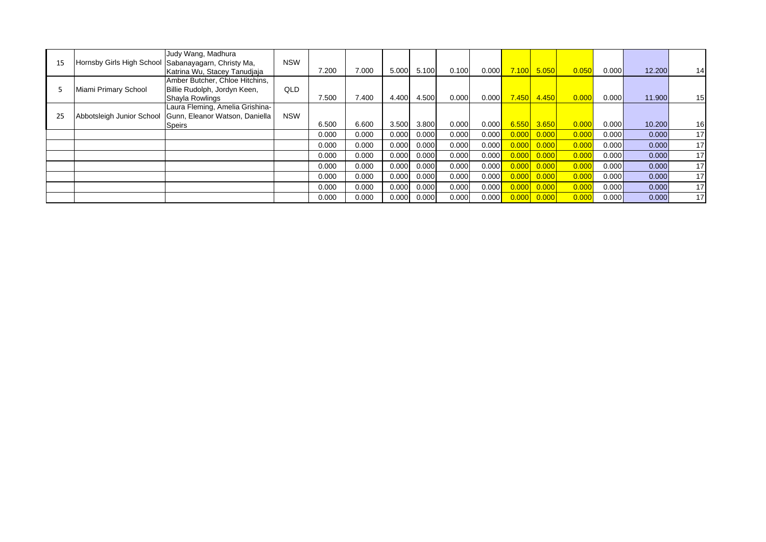|    |                           | Judy Wang, Madhura                                                                  | <b>NSW</b> |       |       |       |       |       |       |       |       |       |       |        |                 |
|----|---------------------------|-------------------------------------------------------------------------------------|------------|-------|-------|-------|-------|-------|-------|-------|-------|-------|-------|--------|-----------------|
| 15 |                           | Hornsby Girls High School Sabanayagarn, Christy Ma,<br>Katrina Wu, Stacey Tanudiaja |            | 7.200 | 7.000 | 5.000 | 5.100 | 0.100 | 0.000 | 7.100 | 5.050 | 0.050 | 0.000 | 12.200 | 14              |
|    |                           | Amber Butcher, Chloe Hitchins,                                                      |            |       |       |       |       |       |       |       |       |       |       |        |                 |
|    | Miami Primary School      | Billie Rudolph, Jordyn Keen,                                                        | QLD        |       |       |       |       |       |       |       |       |       |       |        |                 |
|    |                           | Shayla Rowlings                                                                     |            | 7.500 | 7.400 | 4.400 | 4.500 | 0.000 | 0.000 | 7.450 | 4.450 | 0.000 | 0.000 | 11.900 | 15              |
|    |                           | Laura Fleming, Amelia Grishina-                                                     |            |       |       |       |       |       |       |       |       |       |       |        |                 |
| 25 | Abbotsleigh Junior School | Gunn, Eleanor Watson, Daniella                                                      | <b>NSW</b> |       |       |       |       |       |       |       |       |       |       |        |                 |
|    |                           | Speirs                                                                              |            | 6.500 | 6.600 | 3.500 | 3.800 | 0.000 | 0.000 | 6.55C | 3.650 | 0.000 | 0.000 | 10.200 | 16              |
|    |                           |                                                                                     |            | 0.000 | 0.000 | 0.000 | 0.000 | 0.000 | 0.000 | 0.000 | 0.000 | 0.000 | 0.000 | 0.000  | 17              |
|    |                           |                                                                                     |            | 0.000 | 0.000 | 0.000 | 0.000 | 0.000 | 0.000 | 0.000 | 0.000 | 0.000 | 0.000 | 0.000  | 17              |
|    |                           |                                                                                     |            | 0.000 | 0.000 | 0.000 | 0.000 | 0.000 | 0.000 | 0.000 | 0.000 | 0.000 | 0.000 | 0.000  | 17              |
|    |                           |                                                                                     |            | 0.000 | 0.000 | 0.000 | 0.000 | 0.000 | 0.000 | 0.000 | 0.000 | 0.000 | 0.000 | 0.000  | 17              |
|    |                           |                                                                                     |            | 0.000 | 0.000 | 0.000 | 0.000 | 0.000 | 0.000 | 0.000 | 0.000 | 0.000 | 0.000 | 0.000  | 17 <sub>l</sub> |
|    |                           |                                                                                     |            | 0.000 | 0.000 | 0.000 | 0.000 | 0.000 | 0.000 | 0.000 | 0.000 | 0.000 | 0.000 | 0.000  | 17              |
|    |                           |                                                                                     |            | 0.000 | 0.000 | 0.000 | 0.000 | 0.000 | 0.000 | 0.000 | 0.000 | 0.000 | 0.000 | 0.000  | 17              |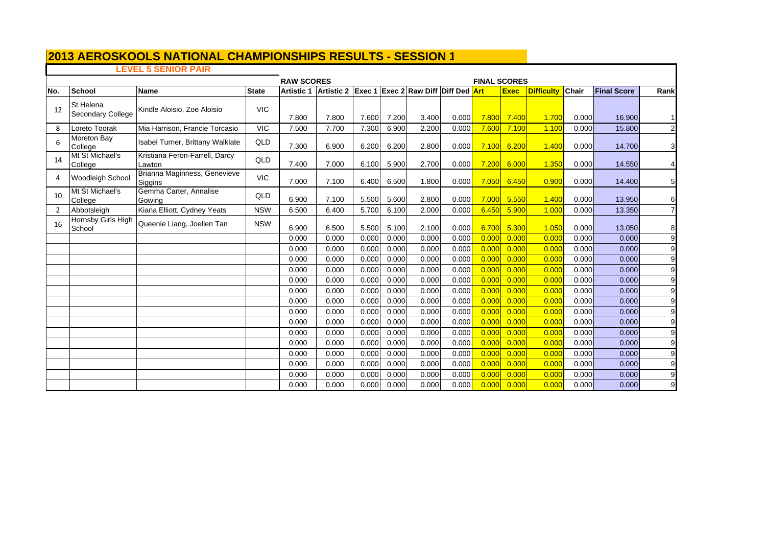## **LEVEL 5 SENIOR PAIR**

|     |                                       |                                          | <b>FINAL SCORES</b> |                |                                                                       |                |                |                |                |                |                |                   |                |                    |                 |
|-----|---------------------------------------|------------------------------------------|---------------------|----------------|-----------------------------------------------------------------------|----------------|----------------|----------------|----------------|----------------|----------------|-------------------|----------------|--------------------|-----------------|
| No. | School                                | <b>Name</b>                              | <b>State</b>        |                | Artistic 1   Artistic 2   Exec 1   Exec 2   Raw Diff   Diff Ded   Art |                |                |                |                |                | <b>Exec</b>    | <b>Difficulty</b> | <b>Chair</b>   | <b>Final Score</b> | Rank            |
| 12  | <b>St Helena</b><br>Secondary College | Kindle Aloisio, Zoe Aloisio              | <b>VIC</b>          | 7.800          | 7.800                                                                 | 7.600          | 7.200          | 3.400          | 0.000          | 7.800          | 7.400          | 1.700             | 0.000          | 16.900             |                 |
| 8   | Loreto Toorak                         | Mia Harrison, Francie Torcasio           | <b>VIC</b>          | 7.500          | 7.700                                                                 | 7.300          | 6.900          | 2.200          | 0.000          | 7.600          | 7.100          | 1.100             | 0.000          | 15.800             | $\mathbf{2}$    |
| 6   | Moreton Bay<br>College                | Isabel Turner, Brittany Walklate         | QLD                 | 7.300          | 6.900                                                                 | 6.200          | 6.200          | 2.800          | 0.000          | 7.100          | 6.200          | 1.400             | 0.000          | 14.700             | $\mathbf{3}$    |
| 14  | Mt St Michael's<br>College            | Kristiana Feron-Farrell, Darcy<br>Lawton | QLD                 | 7.400          | 7.000                                                                 | 6.100          | 5.900          | 2.700          | 0.000          | 7.200          | 6.000          | 1.350             | 0.000          | 14.550             | $\overline{a}$  |
| Δ   | <b>Woodleigh School</b>               | Brianna Maginness, Genevieve<br>Siggins  | <b>VIC</b>          | 7.000          | 7.100                                                                 | 6.400          | 6.500          | 1.800          | 0.000          | 7.050          | 6.450          | 0.900             | 0.000          | 14.400             | $5\phantom{.0}$ |
| 10  | Mt St Michael's<br>College            | Gemma Carter, Annalise<br>Gowing         | QLD                 | 6.900          | 7.100                                                                 | 5.500          | 5.600          | 2.800          | 0.000          | 7.000          | 5.550          | 1.400             | 0.000          | 13.950             | $6 \,$          |
| 2   | Abbotsleigh                           | Kiana Elliott, Cydney Yeats              | <b>NSW</b>          | 6.500          | 6.400                                                                 | 5.700          | 6.100          | 2.000          | 0.000          | 6.450          | 5.900          | 1.000             | 0.000          | 13.350             | $\overline{7}$  |
| 16  | Hornsby Girls High<br>School          | Queenie Liang, Joellen Tan               | <b>NSW</b>          | 6.900          | 6.500                                                                 | 5.500          | 5.100          | 2.100          | 0.000          | 6.700          | 5.300          | 1.050             | 0.000          | 13.050             | 8               |
|     |                                       |                                          |                     | 0.000          | 0.000                                                                 | 0.000          | 0.000          | 0.000          | 0.000          | 0.000          | 0.000          | 0.000             | 0.000          | 0.000              | $9\,$           |
|     |                                       |                                          |                     | 0.000          | 0.000                                                                 | 0.000          | 0.000          | 0.000          | 0.000          | 0.000          | 0.000          | 0.000             | 0.000          | 0.000              | 9               |
|     |                                       |                                          |                     | 0.000          | 0.000                                                                 | 0.000          | 0.000          | 0.000          | 0.000          | 0.000          | 0.000          | 0.000             | 0.000          | 0.000              | 9               |
|     |                                       |                                          |                     | 0.000          | 0.000                                                                 | 0.000          | 0.000          | 0.000          | 0.000          | 0.000          | 0.000          | 0.000             | 0.000          | 0.000              | $9\,$           |
|     |                                       |                                          |                     | 0.000          | 0.000                                                                 | 0.000          | 0.000          | 0.000          | 0.000          | 0.000          | 0.000          | 0.000             | 0.000          | 0.000              | 9               |
|     |                                       |                                          |                     | 0.000          | 0.000                                                                 | 0.000          | 0.000          | 0.000          | 0.000          | 0.000          | 0.000          | 0.000             | 0.000          | 0.000              | 9               |
|     |                                       |                                          |                     | 0.000          | 0.000                                                                 | 0.000          | 0.000          | 0.000          | 0.000          | 0.000          | 0.000          | 0.000             | 0.000          | 0.000              | $9\,$           |
|     |                                       |                                          |                     | 0.000          | 0.000                                                                 | 0.000          | 0.000          | 0.000          | 0.000          | 0.000          | 0.000          | 0.000             | 0.000          | 0.000              | 9               |
|     |                                       |                                          |                     | 0.000          | 0.000                                                                 | 0.000          | 0.000          | 0.000          | 0.000          | 0.000          | 0.000          | 0.000             | 0.000          | 0.000              | 9               |
|     |                                       |                                          |                     | 0.000          | 0.000                                                                 | 0.000          | 0.000          | 0.000          | 0.000          | 0.000          | 0.000          | 0.000             | 0.000          | 0.000              | 9 <sub>l</sub>  |
|     |                                       |                                          |                     | 0.000          | 0.000                                                                 | 0.000          | 0.000          | 0.000          | 0.000          | 0.000          | 0.000          | 0.000             | 0.000          | 0.000              | 9               |
|     |                                       |                                          |                     | 0.000          | 0.000                                                                 | 0.000          | 0.000          | 0.000          | 0.000<br>0.000 | 0.000<br>0.000 | 0.000          | 0.000             | 0.000          | 0.000              | 9               |
|     |                                       |                                          |                     | 0.000<br>0.000 | 0.000<br>0.000                                                        | 0.000<br>0.000 | 0.000<br>0.000 | 0.000<br>0.000 | 0.000          | 0.000          | 0.000<br>0.000 | 0.000<br>0.000    | 0.000<br>0.000 | 0.000<br>0.000     | 9               |
|     |                                       |                                          |                     |                |                                                                       |                |                | 0.000          | 0.000          | 0.000          | 0.000          | 0.000             |                |                    | $9\,$           |
|     |                                       |                                          |                     | 0.000          | 0.000                                                                 | 0.000          | 0.000          |                |                |                |                |                   | 0.000          | 0.000              | 9               |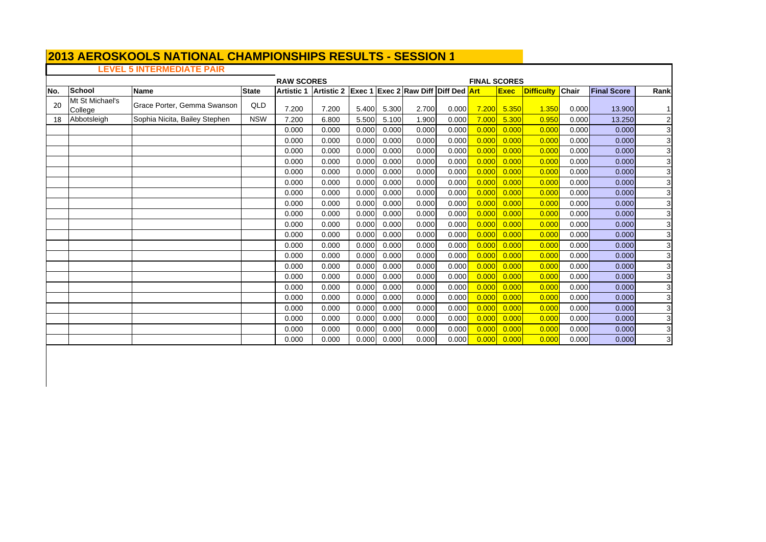# **LEVEL 5 INTERMEDIATE PAIR**

 $\Box$ 

|     |                            |                               |              | <b>RAW SCORES</b><br>Artistic 2 Exec 1 Exec 2 Raw Diff Diff Ded Art |       |       |       |       |       |       | <b>FINAL SCORES</b> |                   |              |                    |                |  |  |
|-----|----------------------------|-------------------------------|--------------|---------------------------------------------------------------------|-------|-------|-------|-------|-------|-------|---------------------|-------------------|--------------|--------------------|----------------|--|--|
| No. | School                     | <b>Name</b>                   | <b>State</b> | <b>Artistic 1</b>                                                   |       |       |       |       |       |       | <b>Exec</b>         | <b>Difficulty</b> | <b>Chair</b> | <b>Final Score</b> | Rank           |  |  |
| 20  | Mt St Michael's<br>College | Grace Porter, Gemma Swanson   | QLD          | 7.200                                                               | 7.200 | 5.400 | 5.300 | 2.700 | 0.000 | 7.200 | 5.350               | 1.350             | 0.000        | 13.900             |                |  |  |
| 18  | Abbotsleigh                | Sophia Nicita, Bailey Stephen | <b>NSW</b>   | 7.200                                                               | 6.800 | 5.500 | 5.100 | 1.900 | 0.000 | 7.000 | 5.300               | 0.95C             | 0.000        | 13.250             | $\mathbf{2}$   |  |  |
|     |                            |                               |              | 0.000                                                               | 0.000 | 0.000 | 0.000 | 0.000 | 0.000 | 0.000 | 0.000               | 0.000             | 0.000        | 0.000              | 3              |  |  |
|     |                            |                               |              | 0.000                                                               | 0.000 | 0.000 | 0.000 | 0.000 | 0.000 | 0.000 | 0.000               | 0.000             | 0.000        | 0.000              | 3              |  |  |
|     |                            |                               |              | 0.000                                                               | 0.000 | 0.000 | 0.000 | 0.000 | 0.000 | 0.000 | 0.000               | 0.000             | 0.000        | 0.000              | $\overline{3}$ |  |  |
|     |                            |                               |              | 0.000                                                               | 0.000 | 0.000 | 0.000 | 0.000 | 0.000 | 0.000 | 0.000               | 0.000             | 0.000        | 0.000              | 3              |  |  |
|     |                            |                               |              | 0.000                                                               | 0.000 | 0.000 | 0.000 | 0.000 | 0.000 | 0.000 | 0.000               | 0.000             | 0.000        | 0.000              | 3              |  |  |
|     |                            |                               |              | 0.000                                                               | 0.000 | 0.000 | 0.000 | 0.000 | 0.000 | 0.000 | 0.000               | 0.000             | 0.000        | 0.000              | $\mathbf{3}$   |  |  |
|     |                            |                               |              | 0.000                                                               | 0.000 | 0.000 | 0.000 | 0.000 | 0.000 | 0.000 | 0.000               | 0.000             | 0.000        | 0.000              | 3              |  |  |
|     |                            |                               |              | 0.000                                                               | 0.000 | 0.000 | 0.000 | 0.000 | 0.000 | 0.000 | 0.000               | 0.000             | 0.000        | 0.000              | 3 <sub>l</sub> |  |  |
|     |                            |                               |              | 0.000                                                               | 0.000 | 0.000 | 0.000 | 0.000 | 0.000 | 0.000 | 0.000               | 0.000             | 0.000        | 0.000              | 3              |  |  |
|     |                            |                               |              | 0.000                                                               | 0.000 | 0.000 | 0.000 | 0.000 | 0.000 | 0.000 | 0.000               | 0.000             | 0.000        | 0.000              | 3              |  |  |
|     |                            |                               |              | 0.000                                                               | 0.000 | 0.000 | 0.000 | 0.000 | 0.000 | 0.000 | 0.000               | 0.000             | 0.000        | 0.000              | 3              |  |  |
|     |                            |                               |              | 0.000                                                               | 0.000 | 0.000 | 0.000 | 0.000 | 0.000 | 0.000 | 0.000               | 0.000             | 0.000        | 0.000              | 3              |  |  |
|     |                            |                               |              | 0.000                                                               | 0.000 | 0.000 | 0.000 | 0.000 | 0.000 | 0.000 | 0.000               | 0.000             | 0.000        | 0.000              | 3 <sup>1</sup> |  |  |
|     |                            |                               |              | 0.000                                                               | 0.000 | 0.000 | 0.000 | 0.000 | 0.000 | 0.000 | 0.000               | 0.000             | 0.000        | 0.000              | $\mathbf{3}$   |  |  |
|     |                            |                               |              | 0.000                                                               | 0.000 | 0.000 | 0.000 | 0.000 | 0.000 | 0.000 | 0.000               | 0.000             | 0.000        | 0.000              | 3              |  |  |
|     |                            |                               |              | 0.000                                                               | 0.000 | 0.000 | 0.000 | 0.000 | 0.000 | 0.000 | 0.000               | 0.000             | 0.000        | 0.000              | 3              |  |  |
|     |                            |                               |              | 0.000                                                               | 0.000 | 0.000 | 0.000 | 0.000 | 0.000 | 0.000 | 0.000               | 0.00C             | 0.000        | 0.000              | 3 <sub>l</sub> |  |  |
|     |                            |                               |              | 0.000                                                               | 0.000 | 0.000 | 0.000 | 0.000 | 0.000 | 0.000 | 0.000               | 0.000             | 0.000        | 0.000              | 3              |  |  |
|     |                            |                               |              | 0.000                                                               | 0.000 | 0.000 | 0.000 | 0.000 | 0.000 | 0.000 | 0.000               | 0.000             | 0.000        | 0.000              | 3              |  |  |
|     |                            |                               |              | 0.000                                                               | 0.000 | 0.000 | 0.000 | 0.000 | 0.000 | 0.000 | 0.000               | 0.000             | 0.000        | 0.000              | 3              |  |  |
|     |                            |                               |              | 0.000                                                               | 0.000 | 0.000 | 0.000 | 0.000 | 0.000 | 0.000 | 0.000               | 0.00C             | 0.000        | 0.000              | $\mathbf{3}$   |  |  |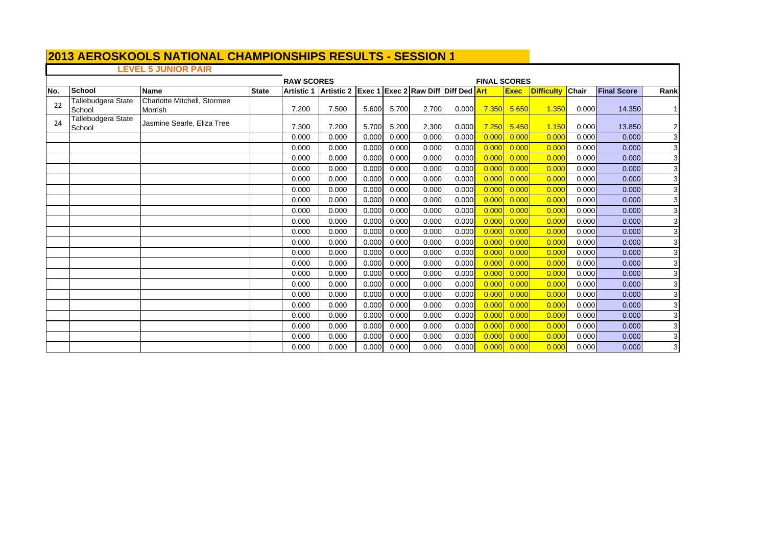## **LEVEL 5 JUNIOR PAIR**

|     |                              |                             |              | <b>RAW SCORES</b> |            |       |       |                                        |       | <b>FINAL SCORES</b> |       |                   |       |                    |                |  |
|-----|------------------------------|-----------------------------|--------------|-------------------|------------|-------|-------|----------------------------------------|-------|---------------------|-------|-------------------|-------|--------------------|----------------|--|
| No. | School                       | <b>Name</b>                 | <b>State</b> | <b>Artistic 1</b> | Artistic 2 |       |       | <b>Exec 1 Exec 2 Raw Diff Diff Ded</b> |       | <b>Art</b>          | Exec  | <b>Difficulty</b> | Chair | <b>Final Score</b> | Rank           |  |
| 22  | Tallebudgera State           | Charlotte Mitchell, Stormee |              |                   |            |       |       |                                        |       |                     |       |                   |       |                    |                |  |
|     | School                       | Morrish                     |              | 7.200             | 7.500      | 5.600 | 5.700 | 2.700                                  | 0.000 | 7.350               | 5.650 | 1.350             | 0.000 | 14.350             | 1              |  |
| 24  | Tallebudgera State<br>School | Jasmine Searle, Eliza Tree  |              | 7.300             | 7.200      | 5.700 | 5.200 | 2.300                                  | 0.000 | 7.250               | 5.450 | 1.150             | 0.000 | 13.850             | $\mathbf{2}$   |  |
|     |                              |                             |              | 0.000             | 0.000      | 0.000 | 0.000 | 0.000                                  | 0.000 | 0.000               | 0.000 | 0.000             | 0.000 | 0.000              | 3              |  |
|     |                              |                             |              | 0.000             | 0.000      | 0.000 | 0.000 | 0.000                                  | 0.000 | 0.000               | 0.000 | 0.000             | 0.000 | 0.000              | 3              |  |
|     |                              |                             |              | 0.000             | 0.000      | 0.000 | 0.000 | 0.000                                  | 0.000 | 0.000               | 0.000 | 0.000             | 0.000 | 0.000              | $\overline{3}$ |  |
|     |                              |                             |              | 0.000             | 0.000      | 0.000 | 0.000 | 0.000                                  | 0.000 | 0.000               | 0.000 | 0.000             | 0.000 | 0.000              | $\overline{3}$ |  |
|     |                              |                             |              | 0.000             | 0.000      | 0.000 | 0.000 | 0.000                                  | 0.000 | 0.000               | 0.000 | 0.000             | 0.000 | 0.000              | 3              |  |
|     |                              |                             |              | 0.000             | 0.000      | 0.000 | 0.000 | 0.000                                  | 0.000 | 0.000               | 0.000 | 0.000             | 0.000 | 0.000              | 3              |  |
|     |                              |                             |              | 0.000             | 0.000      | 0.000 | 0.000 | 0.000                                  | 0.000 | 0.000               | 0.000 | 0.000             | 0.000 | 0.000              | 3              |  |
|     |                              |                             |              | 0.000             | 0.000      | 0.000 | 0.000 | 0.000                                  | 0.000 | 0.000               | 0.000 | 0.000             | 0.000 | 0.000              | $\mathbf{3}$   |  |
|     |                              |                             |              | 0.000             | 0.000      | 0.000 | 0.000 | 0.000                                  | 0.000 | 0.000               | 0.000 | 0.000             | 0.000 | 0.000              | 3              |  |
|     |                              |                             |              | 0.000             | 0.000      | 0.000 | 0.000 | 0.000                                  | 0.000 | 0.000               | 0.000 | 0.000             | 0.000 | 0.000              | 3              |  |
|     |                              |                             |              | 0.000             | 0.000      | 0.000 | 0.000 | 0.000                                  | 0.000 | 0.000               | 0.000 | 0.000             | 0.000 | 0.000              | 3              |  |
|     |                              |                             |              | 0.000             | 0.000      | 0.000 | 0.000 | 0.000                                  | 0.000 | 0.000               | 0.000 | 0.000             | 0.000 | 0.000              | 3              |  |
|     |                              |                             |              | 0.000             | 0.000      | 0.000 | 0.000 | 0.000                                  | 0.000 | 0.000               | 0.000 | 0.000             | 0.000 | 0.000              | 3              |  |
|     |                              |                             |              | 0.000             | 0.000      | 0.000 | 0.000 | 0.000                                  | 0.000 | 0.000               | 0.000 | 0.000             | 0.000 | 0.000              | $\overline{3}$ |  |
|     |                              |                             |              | 0.000             | 0.000      | 0.000 | 0.000 | 0.000                                  | 0.000 | 0.000               | 0.000 | 0.000             | 0.000 | 0.000              | 3              |  |
|     |                              |                             |              | 0.000             | 0.000      | 0.000 | 0.000 | 0.000                                  | 0.000 | 0.000               | 0.000 | 0.000             | 0.000 | 0.000              | 3              |  |
|     |                              |                             |              | 0.000             | 0.000      | 0.000 | 0.000 | 0.000                                  | 0.000 | 0.000               | 0.000 | 0.000             | 0.000 | 0.000              | 3              |  |
|     |                              |                             |              | 0.000             | 0.000      | 0.000 | 0.000 | 0.000                                  | 0.000 | 0.000               | 0.000 | 0.000             | 0.000 | 0.000              | 3              |  |
|     |                              |                             |              | 0.000             | 0.000      | 0.000 | 0.000 | 0.000                                  | 0.000 | 0.000               | 0.000 | 0.000             | 0.000 | 0.000              | 3              |  |
|     |                              |                             |              | 0.000             | 0.000      | 0.000 | 0.000 | 0.000                                  | 0.000 | 0.000               | 0.000 | 0.000             | 0.000 | 0.000              | 3              |  |
|     |                              |                             |              | 0.000             | 0.000      | 0.000 | 0.000 | 0.000                                  | 0.000 | 0.000               | 0.000 | 0.000             | 0.000 | 0.000              | ვ              |  |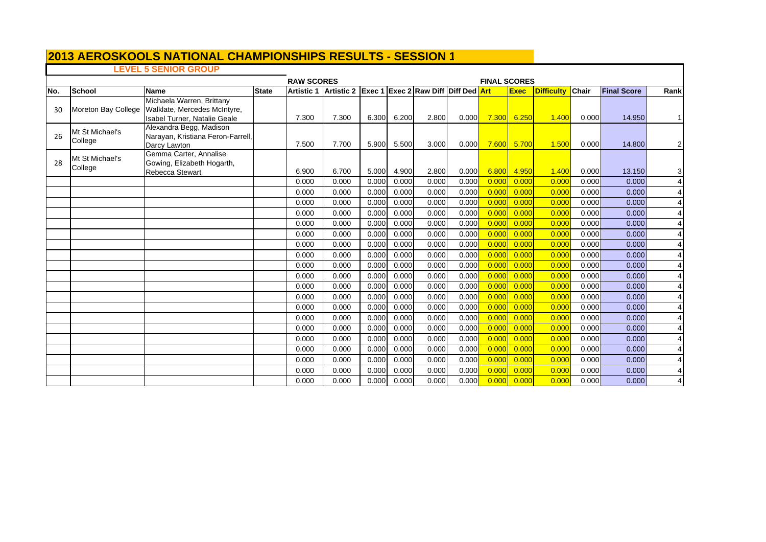# **LEVEL 5 SENIOR GROUP**

|     |                            |                                                                                           | <b>RAW SCORES</b><br>Artistic 1 Artistic 2 Exec 1 Exec 2 Raw Diff Diff Ded Art |       |       |       |       |       |       |       | <b>FINAL SCORES</b> |                   |              |                    |                |  |  |
|-----|----------------------------|-------------------------------------------------------------------------------------------|--------------------------------------------------------------------------------|-------|-------|-------|-------|-------|-------|-------|---------------------|-------------------|--------------|--------------------|----------------|--|--|
| No. | <b>School</b>              | <b>Name</b>                                                                               | <b>State</b>                                                                   |       |       |       |       |       |       |       | <b>Exec</b>         | <b>Difficulty</b> | <b>Chair</b> | <b>Final Score</b> | Rank           |  |  |
| 30  | Moreton Bay College        | Michaela Warren, Brittany<br>Walklate, Mercedes McIntyre,<br>Isabel Turner, Natalie Geale |                                                                                | 7.300 | 7.300 | 6.300 | 6.200 | 2.800 | 0.000 | 7.300 | 6.250               | 1.400             | 0.000        | 14.950             |                |  |  |
| 26  | Mt St Michael's<br>College | Alexandra Begg, Madison<br>Narayan, Kristiana Feron-Farrell,<br>Darcy Lawton              |                                                                                | 7.500 | 7.700 | 5.900 | 5.500 | 3.000 | 0.000 | 7.600 | 5.700               | 1.500             | 0.000        | 14.800             | $\mathbf{2}$   |  |  |
| 28  | Mt St Michael's<br>College | Gemma Carter, Annalise<br>Gowing, Elizabeth Hogarth,<br>Rebecca Stewart                   |                                                                                | 6.900 | 6.700 | 5.000 | 4.900 | 2.800 | 0.000 | 6.800 | 4.950               | 1.400             | 0.000        | 13.150             | 31             |  |  |
|     |                            |                                                                                           |                                                                                | 0.000 | 0.000 | 0.000 | 0.000 | 0.000 | 0.000 | 0.000 | 0.000               | 0.000             | 0.000        | 0.000              | 4 <sup>1</sup> |  |  |
|     |                            |                                                                                           |                                                                                | 0.000 | 0.000 | 0.000 | 0.000 | 0.000 | 0.000 | 0.000 | 0.000               | 0.000             | 0.000        | 0.000              | 4 <sup>1</sup> |  |  |
|     |                            |                                                                                           |                                                                                | 0.000 | 0.000 | 0.000 | 0.000 | 0.000 | 0.000 | 0.000 | 0.000               | 0.000             | 0.000        | 0.000              | 4 <sup>1</sup> |  |  |
|     |                            |                                                                                           |                                                                                | 0.000 | 0.000 | 0.000 | 0.000 | 0.000 | 0.000 | 0.000 | 0.000               | 0.000             | 0.000        | 0.000              | 4 <sup>1</sup> |  |  |
|     |                            |                                                                                           |                                                                                | 0.000 | 0.000 | 0.000 | 0.000 | 0.000 | 0.000 | 0.000 | 0.000               | 0.000             | 0.000        | 0.000              | 41             |  |  |
|     |                            |                                                                                           |                                                                                | 0.000 | 0.000 | 0.000 | 0.000 | 0.000 | 0.000 | 0.000 | 0.000               | 0.000             | 0.000        | 0.000              | 4 <sup>1</sup> |  |  |
|     |                            |                                                                                           |                                                                                | 0.000 | 0.000 | 0.000 | 0.000 | 0.000 | 0.000 | 0.000 | 0.000               | 0.000             | 0.000        | 0.000              | 4 <sup>1</sup> |  |  |
|     |                            |                                                                                           |                                                                                | 0.000 | 0.000 | 0.000 | 0.000 | 0.000 | 0.000 | 0.000 | 0.000               | 0.000             | 0.000        | 0.000              | 4 <sup>1</sup> |  |  |
|     |                            |                                                                                           |                                                                                | 0.000 | 0.000 | 0.000 | 0.000 | 0.000 | 0.000 | 0.000 | 0.000               | 0.000             | 0.000        | 0.000              | 41             |  |  |
|     |                            |                                                                                           |                                                                                | 0.000 | 0.000 | 0.000 | 0.000 | 0.000 | 0.000 | 0.000 | 0.000               | 0.000             | 0.000        | 0.000              | 4 <sup>1</sup> |  |  |
|     |                            |                                                                                           |                                                                                | 0.000 | 0.000 | 0.000 | 0.000 | 0.000 | 0.000 | 0.000 | 0.000               | 0.000             | 0.000        | 0.000              | 4 <sup>1</sup> |  |  |
|     |                            |                                                                                           |                                                                                | 0.000 | 0.000 | 0.000 | 0.000 | 0.000 | 0.000 | 0.000 | 0.000               | 0.000             | 0.000        | 0.000              | 4 <sup>1</sup> |  |  |
|     |                            |                                                                                           |                                                                                | 0.000 | 0.000 | 0.000 | 0.000 | 0.000 | 0.000 | 0.000 | 0.000               | 0.000             | 0.000        | 0.000              | 4 <sup>1</sup> |  |  |
|     |                            |                                                                                           |                                                                                | 0.000 | 0.000 | 0.000 | 0.000 | 0.000 | 0.000 | 0.000 | 0.000               | 0.000             | 0.000        | 0.000              | 4 <sup>1</sup> |  |  |
|     |                            |                                                                                           |                                                                                | 0.000 | 0.000 | 0.000 | 0.000 | 0.000 | 0.000 | 0.000 | 0.000               | 0.000             | 0.000        | 0.000              | 4 <sup>1</sup> |  |  |
|     |                            |                                                                                           |                                                                                | 0.000 | 0.000 | 0.000 | 0.000 | 0.000 | 0.000 | 0.000 | 0.000               | 0.000             | 0.000        | 0.000              | 4 <sup>1</sup> |  |  |
|     |                            |                                                                                           |                                                                                | 0.000 | 0.000 | 0.000 | 0.000 | 0.000 | 0.000 | 0.000 | 0.000               | 0.000             | 0.000        | 0.000              | 41             |  |  |
|     |                            |                                                                                           |                                                                                | 0.000 | 0.000 | 0.000 | 0.000 | 0.000 | 0.000 | 0.000 | 0.000               | 0.000             | 0.000        | 0.000              | 4 <sup>1</sup> |  |  |
|     |                            |                                                                                           |                                                                                | 0.000 | 0.000 | 0.000 | 0.000 | 0.000 | 0.000 | 0.000 | 0.000               | 0.000             | 0.000        | 0.000              | 4 <sup>1</sup> |  |  |
|     |                            |                                                                                           |                                                                                | 0.000 | 0.000 | 0.000 | 0.000 | 0.000 | 0.000 | 0.000 | 0.000               | 0.000             | 0.000        | 0.000              | 41             |  |  |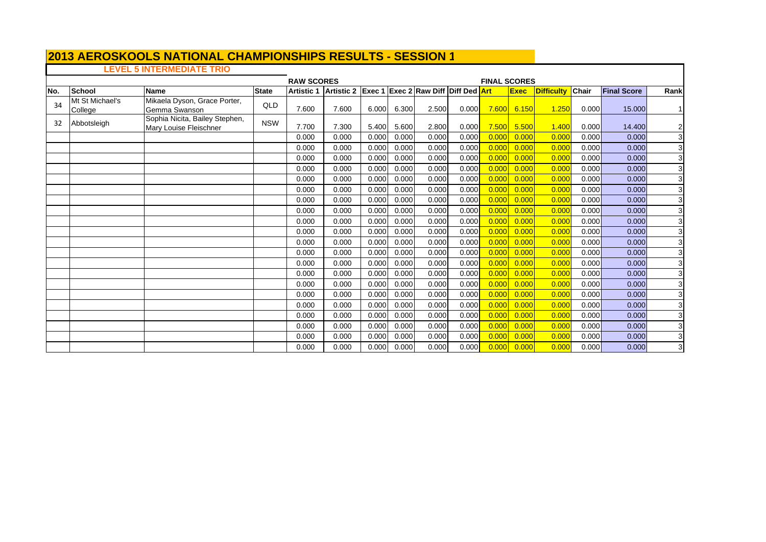# **LEVEL 5 INTERMEDIATE TRIO**

<u> Tanzania (</u>

 $\Gamma$ 

|     |                            |                                                          | <b>RAW SCORES</b><br>Artistic 2 Exec 1 Exec 2 Raw Diff Diff Ded |                   |       |       |       |       |       |            | <b>FINAL SCORES</b> |                   |       |                    |                |  |  |
|-----|----------------------------|----------------------------------------------------------|-----------------------------------------------------------------|-------------------|-------|-------|-------|-------|-------|------------|---------------------|-------------------|-------|--------------------|----------------|--|--|
| No. | School                     | <b>Name</b>                                              | <b>State</b>                                                    | <b>Artistic 1</b> |       |       |       |       |       | <b>Art</b> | <b>Exec</b>         | <b>Difficulty</b> | Chair | <b>Final Score</b> | Rank           |  |  |
| 34  | Mt St Michael's<br>College | Mikaela Dyson, Grace Porter,<br>Gemma Swanson            | QLD                                                             | 7.600             | 7.600 | 6.000 | 6.300 | 2.500 | 0.000 | 7.600      | 6.150               | 1.250             | 0.000 | 15.000             |                |  |  |
| 32  | Abbotsleigh                | Sophia Nicita, Bailey Stephen,<br>Mary Louise Fleischner | <b>NSW</b>                                                      | 7.700             | 7.300 | 5.400 | 5.600 | 2.800 | 0.000 | 7.500      | 5.500               | 1.400             | 0.000 | 14.400             | $\mathbf{2}$   |  |  |
|     |                            |                                                          |                                                                 | 0.000             | 0.000 | 0.000 | 0.000 | 0.000 | 0.000 | 0.000      | 0.000               | 0.00C             | 0.000 | 0.000              | $\mathbf{3}$   |  |  |
|     |                            |                                                          |                                                                 | 0.000             | 0.000 | 0.000 | 0.000 | 0.000 | 0.000 | 0.000      | 0.000               | 0.00C             | 0.000 | 0.000              | 3              |  |  |
|     |                            |                                                          |                                                                 | 0.000             | 0.000 | 0.000 | 0.000 | 0.000 | 0.000 | 0.000      | 0.000               | 0.000             | 0.000 | 0.000              | $\overline{3}$ |  |  |
|     |                            |                                                          |                                                                 | 0.000             | 0.000 | 0.000 | 0.000 | 0.000 | 0.000 | 0.000      | 0.000               | 0.00C             | 0.000 | 0.000              | $\overline{3}$ |  |  |
|     |                            |                                                          |                                                                 | 0.000             | 0.000 | 0.000 | 0.000 | 0.000 | 0.000 | 0.000      | 0.000               | 0.00C             | 0.000 | 0.000              | 3              |  |  |
|     |                            |                                                          |                                                                 | 0.000             | 0.000 | 0.000 | 0.000 | 0.000 | 0.000 | 0.000      | 0.000               | 0.00C             | 0.000 | 0.000              | 3              |  |  |
|     |                            |                                                          |                                                                 | 0.000             | 0.000 | 0.000 | 0.000 | 0.000 | 0.000 | 0.000      | 0.000               | 0.000             | 0.000 | 0.000              | 3              |  |  |
|     |                            |                                                          |                                                                 | 0.000             | 0.000 | 0.000 | 0.000 | 0.000 | 0.000 | 0.000      | 0.000               | 0.00C             | 0.000 | 0.000              | 3              |  |  |
|     |                            |                                                          |                                                                 | 0.000             | 0.000 | 0.000 | 0.000 | 0.000 | 0.000 | 0.000      | 0.000               | 0.000             | 0.000 | 0.000              | 3              |  |  |
|     |                            |                                                          |                                                                 | 0.000             | 0.000 | 0.000 | 0.000 | 0.000 | 0.000 | 0.000      | 0.000               | 0.00C             | 0.000 | 0.000              | 3              |  |  |
|     |                            |                                                          |                                                                 | 0.000             | 0.000 | 0.000 | 0.000 | 0.000 | 0.000 | 0.000      | 0.000               | 0.00C             | 0.000 | 0.000              | 3              |  |  |
|     |                            |                                                          |                                                                 | 0.000             | 0.000 | 0.000 | 0.000 | 0.000 | 0.000 | 0.000      | 0.000               | 0.00C             | 0.000 | 0.000              | 3              |  |  |
|     |                            |                                                          |                                                                 | 0.000             | 0.000 | 0.000 | 0.000 | 0.000 | 0.000 | 0.000      | 0.000               | 0.00C             | 0.000 | 0.000              | $\mathbf{3}$   |  |  |
|     |                            |                                                          |                                                                 | 0.000             | 0.000 | 0.000 | 0.000 | 0.000 | 0.000 | 0.000      | 0.000               | 0.000             | 0.000 | 0.000              | 3              |  |  |
|     |                            |                                                          |                                                                 | 0.000             | 0.000 | 0.000 | 0.000 | 0.000 | 0.000 | 0.000      | 0.000               | 0.00C             | 0.000 | 0.000              | 3              |  |  |
|     |                            |                                                          |                                                                 | 0.000             | 0.000 | 0.000 | 0.000 | 0.000 | 0.000 | 0.000      | 0.000               | 0.00C             | 0.000 | 0.000              | 3              |  |  |
|     |                            |                                                          |                                                                 | 0.000             | 0.000 | 0.000 | 0.000 | 0.000 | 0.000 | 0.000      | 0.000               | 0.000             | 0.000 | 0.000              | 3              |  |  |
|     |                            |                                                          |                                                                 | 0.000             | 0.000 | 0.000 | 0.000 | 0.000 | 0.000 | 0.000      | 0.000               | 0.00C             | 0.000 | 0.000              | 3              |  |  |
|     |                            |                                                          |                                                                 | 0.000             | 0.000 | 0.000 | 0.000 | 0.000 | 0.000 | 0.000      | 0.000               | 0.000             | 0.000 | 0.000              | 3              |  |  |
|     |                            |                                                          |                                                                 | 0.000             | 0.000 | 0.000 | 0.000 | 0.000 | 0.000 | 0.000      | 0.000               | 0.00C             | 0.000 | 0.000              | 3              |  |  |
|     |                            |                                                          |                                                                 | 0.000             | 0.000 | 0.000 | 0.000 | 0.000 | 0.000 | 0.000      | 0.000               | 0.000             | 0.000 | 0.000              | 3              |  |  |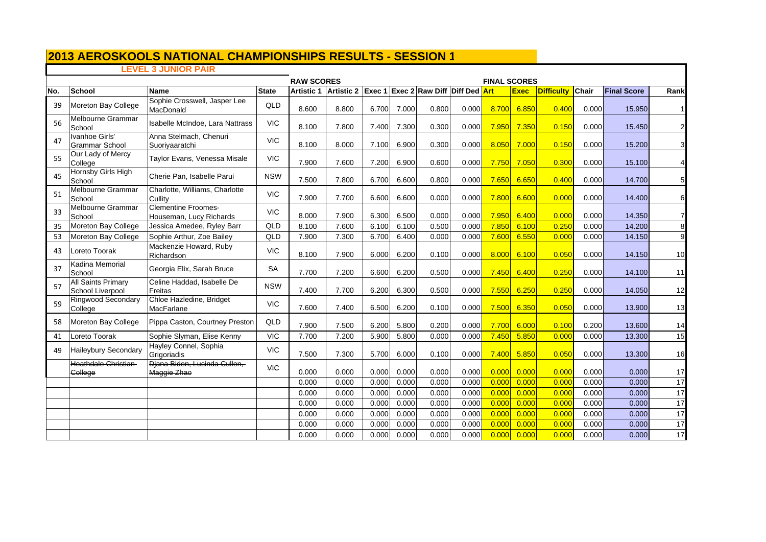# **LEVEL 3 JUNIOR PAIR**

| <b>RAW SCORES</b><br>Artistic 2 Exec 1 Exec 2 Raw Diff Diff Ded Art |                                               |                                                       |              |                   |       |       |       |       | <b>FINAL SCORES</b> |       |             |                   |       |                    |                         |
|---------------------------------------------------------------------|-----------------------------------------------|-------------------------------------------------------|--------------|-------------------|-------|-------|-------|-------|---------------------|-------|-------------|-------------------|-------|--------------------|-------------------------|
| No.                                                                 | <b>School</b>                                 | <b>Name</b>                                           | <b>State</b> | <b>Artistic 1</b> |       |       |       |       |                     |       | <b>Exec</b> | <b>Difficulty</b> | Chair | <b>Final Score</b> | Rank                    |
| 39                                                                  | Moreton Bay College                           | Sophie Crosswell, Jasper Lee<br>MacDonald             | QLD          | 8.600             | 8.800 | 6.700 | 7.000 | 0.800 | 0.000               | 8.700 | 6.850       | 0.400             | 0.000 | 15.950             | 11                      |
| 56                                                                  | Melbourne Grammar<br>School                   | Isabelle McIndoe, Lara Nattrass                       | <b>VIC</b>   | 8.100             | 7.800 | 7.400 | 7.300 | 0.300 | 0.000               | 7.950 | 7.350       | 0.150             | 0.000 | 15.450             | $\mathbf{2}$            |
| 47                                                                  | Ivanhoe Girls'<br><b>Grammar School</b>       | Anna Stelmach, Chenuri<br>Suoriyaaratchi              | <b>VIC</b>   | 8.100             | 8.000 | 7.100 | 6.900 | 0.300 | 0.000               | 8.050 | 7.000       | 0.150             | 0.000 | 15.200             | $\overline{\mathbf{3}}$ |
| 55                                                                  | Our Lady of Mercy<br>College                  | Taylor Evans, Venessa Misale                          | <b>VIC</b>   | 7.900             | 7.600 | 7.200 | 6.900 | 0.600 | 0.000               | 7.750 | 7.050       | 0.300             | 0.000 | 15.100             | 4                       |
| 45                                                                  | Hornsby Girls High<br>School                  | Cherie Pan, Isabelle Parui                            | <b>NSW</b>   | 7.500             | 7.800 | 6.700 | 6.600 | 0.800 | 0.000               | 7.650 | 6.650       | 0.400             | 0.000 | 14.700             | 5                       |
| 51                                                                  | Melbourne Grammar<br>School                   | Charlotte, Williams, Charlotte<br>Cullity             | <b>VIC</b>   | 7.900             | 7.700 | 6.600 | 6.600 | 0.000 | 0.000               | 7.800 | 6.600       | 0.000             | 0.000 | 14.400             | 6                       |
| 33                                                                  | Melbourne Grammar<br>School                   | <b>Clementine Froomes-</b><br>Houseman, Lucy Richards | <b>VIC</b>   | 8.000             | 7.900 | 6.300 | 6.500 | 0.000 | 0.000               | 7.950 | 6.400       | 0.000             | 0.000 | 14.350             | 7                       |
| 35                                                                  | Moreton Bay College                           | Jessica Amedee, Ryley Barr                            | QLD          | 8.100             | 7.600 | 6.100 | 6.100 | 0.500 | 0.000               | 7.850 | 6.100       | 0.250             | 0.000 | 14.200             | 8 <sup>1</sup>          |
| 53                                                                  | Moreton Bay College                           | Sophie Arthur, Zoe Bailey                             | QLD          | 7.900             | 7.300 | 6.700 | 6.400 | 0.000 | 0.000               | 7.600 | 6.550       | 0.000             | 0.000 | 14.150             | 9                       |
| 43                                                                  | Loreto Toorak                                 | Mackenzie Howard, Ruby<br>Richardson                  | <b>VIC</b>   | 8.100             | 7.900 | 6.000 | 6.200 | 0.100 | 0.000               | 8.000 | 6.100       | 0.050             | 0.000 | 14.150             | 10                      |
| 37                                                                  | Kadina Memorial<br>School                     | Georgia Elix, Sarah Bruce                             | SA           | 7.700             | 7.200 | 6.600 | 6.200 | 0.500 | 0.000               | 7.450 | 6.400       | 0.250             | 0.000 | 14.100             | 11                      |
| 57                                                                  | <b>All Saints Primary</b><br>School Liverpool | Celine Haddad, Isabelle De<br>Freitas                 | <b>NSW</b>   | 7.400             | 7.700 | 6.200 | 6.300 | 0.500 | 0.000               | 7.550 | 6.250       | 0.250             | 0.000 | 14.050             | 12                      |
| 59                                                                  | Ringwood Secondary<br>College                 | Chloe Hazledine, Bridget<br>MacFarlane                | <b>VIC</b>   | 7.600             | 7.400 | 6.500 | 6.200 | 0.100 | 0.000               | 7.500 | 6.350       | 0.050             | 0.000 | 13.900             | 13                      |
| 58                                                                  | Moreton Bay College                           | Pippa Caston, Courtney Preston                        | QLD          | 7.900             | 7.500 | 6.200 | 5.800 | 0.200 | 0.000               | 7.700 | 6.000       | 0.100             | 0.200 | 13.600             | 14                      |
| 41                                                                  | Loreto Toorak                                 | Sophie Slyman, Elise Kenny                            | <b>VIC</b>   | 7.700             | 7.200 | 5.900 | 5.800 | 0.000 | 0.000               | 7.450 | 5.850       | 0.000             | 0.000 | 13.300             | 15                      |
| 49                                                                  | <b>Haileybury Secondary</b>                   | Hayley Connel, Sophia<br>Grigoriadis                  | <b>VIC</b>   | 7.500             | 7.300 | 5.700 | 6.000 | 0.100 | 0.000               | 7.400 | 5.850       | 0.05C             | 0.000 | 13.300             | 16                      |
|                                                                     | Heathdale Christian<br>College                | Diana Biden, Lucinda Cullen,<br>Maggie Zhao           | <b>VIC</b>   | 0.000             | 0.000 | 0.000 | 0.000 | 0.000 | 0.000               | 0.000 | 0.000       | 0.000             | 0.000 | 0.000              | 17                      |
|                                                                     |                                               |                                                       |              | 0.000             | 0.000 | 0.000 | 0.000 | 0.000 | 0.000               | 0.000 | 0.000       | 0.000             | 0.000 | 0.000              | 17                      |
|                                                                     |                                               |                                                       |              | 0.000             | 0.000 | 0.000 | 0.000 | 0.000 | 0.000               | 0.000 | 0.000       | 0.000             | 0.000 | 0.000              | 17                      |
|                                                                     |                                               |                                                       |              | 0.000             | 0.000 | 0.000 | 0.000 | 0.000 | 0.000               | 0.000 | 0.000       | 0.000             | 0.000 | 0.000              | 17                      |
|                                                                     |                                               |                                                       |              | 0.000             | 0.000 | 0.000 | 0.000 | 0.000 | 0.000               | 0.000 | 0.000       | 0.000             | 0.000 | 0.000              | 17                      |
|                                                                     |                                               |                                                       |              | 0.000             | 0.000 | 0.000 | 0.000 | 0.000 | 0.000               | 0.000 | 0.000       | 0.000             | 0.000 | 0.000              | 17                      |
|                                                                     |                                               |                                                       |              | 0.000             | 0.000 | 0.000 | 0.000 | 0.000 | 0.000               | 0.000 | 0.000       | 0.000             | 0.000 | 0.000              | 17                      |